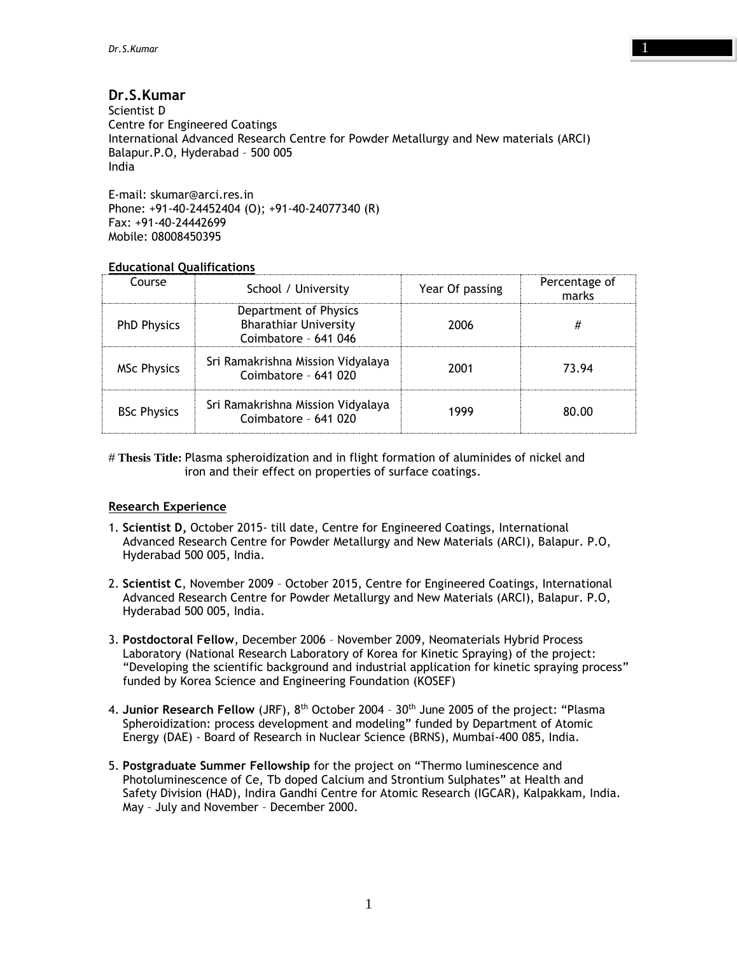# **Dr.S.Kumar**

Scientist D Centre for Engineered Coatings International Advanced Research Centre for Powder Metallurgy and New materials (ARCI) Balapur.P.O, Hyderabad – 500 005 India

E-mail: skumar@arci.res.in Phone: +91-40-24452404 (O); +91-40-24077340 (R) Fax: +91-40-24442699 Mobile: 08008450395

# **Educational Qualifications**

| Course             | School / University                                                           | Year Of passing | Percentage of<br>marks |
|--------------------|-------------------------------------------------------------------------------|-----------------|------------------------|
| <b>PhD Physics</b> | Department of Physics<br><b>Bharathiar University</b><br>Coimbatore - 641 046 | 2006            |                        |
| <b>MSc Physics</b> | Sri Ramakrishna Mission Vidyalaya<br>Coimbatore - 641 020                     | 2001            | 73.94                  |
| <b>BSc Physics</b> | Sri Ramakrishna Mission Vidyalaya<br>Coimbatore - 641 020                     | 1999            | 80.00                  |

# **Thesis Title:** Plasma spheroidization and in flight formation of aluminides of nickel and iron and their effect on properties of surface coatings.

## **Research Experience**

- 1. **Scientist D,** October 2015- till date, Centre for Engineered Coatings, International Advanced Research Centre for Powder Metallurgy and New Materials (ARCI), Balapur. P.O, Hyderabad 500 005, India.
- 2. **Scientist C**, November 2009 October 2015, Centre for Engineered Coatings, International Advanced Research Centre for Powder Metallurgy and New Materials (ARCI), Balapur. P.O, Hyderabad 500 005, India.
- 3. **Postdoctoral Fellow**, December 2006 November 2009, Neomaterials Hybrid Process Laboratory (National Research Laboratory of Korea for Kinetic Spraying) of the project: "Developing the scientific background and industrial application for kinetic spraying process" funded by Korea Science and Engineering Foundation (KOSEF)
- 4. **Junior Research Fellow** (JRF), 8th October 2004 30th June 2005 of the project: "Plasma Spheroidization: process development and modeling" funded by Department of Atomic Energy (DAE) - Board of Research in Nuclear Science (BRNS), Mumbai-400 085, India.
- 5. **Postgraduate Summer Fellowship** for the project on "Thermo luminescence and Photoluminescence of Ce, Tb doped Calcium and Strontium Sulphates" at Health and Safety Division (HAD), Indira Gandhi Centre for Atomic Research (IGCAR), Kalpakkam, India. May – July and November – December 2000.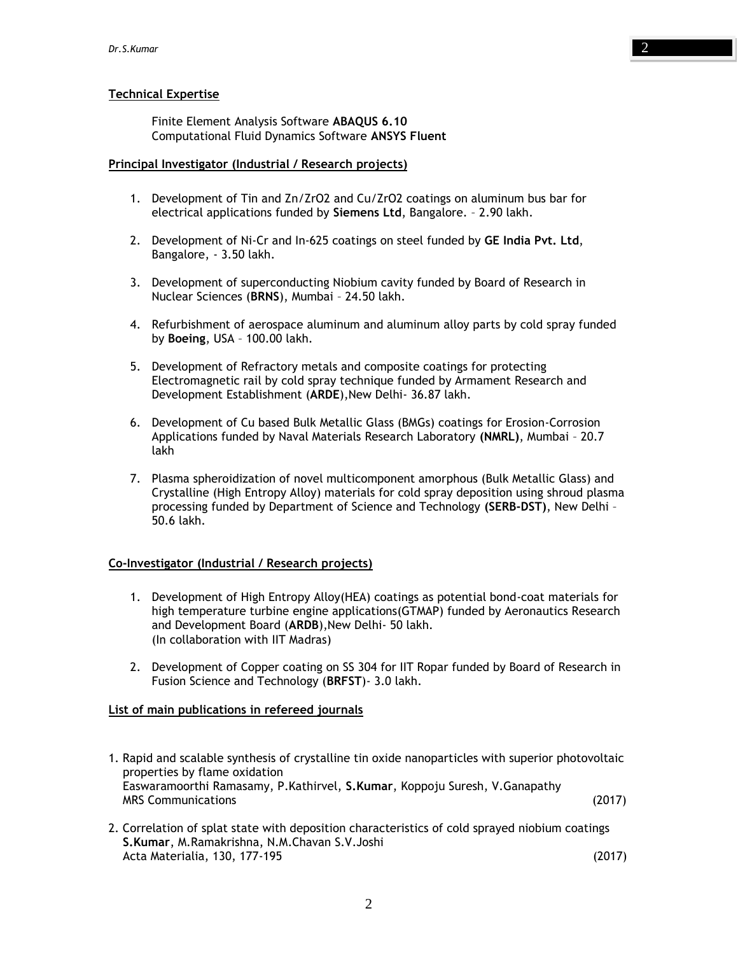# **Technical Expertise**

Finite Element Analysis Software **ABAQUS 6.10** Computational Fluid Dynamics Software **ANSYS Fluent**

#### **Principal Investigator (Industrial / Research projects)**

- 1. Development of Tin and Zn/ZrO2 and Cu/ZrO2 coatings on aluminum bus bar for electrical applications funded by **Siemens Ltd**, Bangalore. – 2.90 lakh.
- 2. Development of Ni-Cr and In-625 coatings on steel funded by **GE India Pvt. Ltd**, Bangalore, - 3.50 lakh.
- 3. Development of superconducting Niobium cavity funded by Board of Research in Nuclear Sciences (**BRNS**), Mumbai – 24.50 lakh.
- 4. Refurbishment of aerospace aluminum and aluminum alloy parts by cold spray funded by **Boeing**, USA – 100.00 lakh.
- 5. Development of Refractory metals and composite coatings for protecting Electromagnetic rail by cold spray technique funded by Armament Research and Development Establishment (**ARDE**),New Delhi- 36.87 lakh.
- 6. Development of Cu based Bulk Metallic Glass (BMGs) coatings for Erosion-Corrosion Applications funded by Naval Materials Research Laboratory **(NMRL)**, Mumbai – 20.7 lakh
- 7. Plasma spheroidization of novel multicomponent amorphous (Bulk Metallic Glass) and Crystalline (High Entropy Alloy) materials for cold spray deposition using shroud plasma processing funded by Department of Science and Technology **(SERB-DST)**, New Delhi – 50.6 lakh.

## **Co-Investigator (Industrial / Research projects)**

- 1. Development of High Entropy Alloy(HEA) coatings as potential bond-coat materials for high temperature turbine engine applications(GTMAP) funded by Aeronautics Research and Development Board (**ARDB**),New Delhi- 50 lakh. (In collaboration with IIT Madras)
- 2. Development of Copper coating on SS 304 for IIT Ropar funded by Board of Research in Fusion Science and Technology (**BRFST**)- 3.0 lakh.

## **List of main publications in refereed journals**

- 1. Rapid and scalable synthesis of crystalline tin oxide nanoparticles with superior photovoltaic properties by flame oxidation Easwaramoorthi Ramasamy, P.Kathirvel, **S.Kumar**, Koppoju Suresh, V.Ganapathy MRS Communications (2017)
- 2. Correlation of splat state with deposition characteristics of cold sprayed niobium coatings **S.Kumar**, M.Ramakrishna, N.M.Chavan S.V.Joshi Acta Materialia, 130, 177-195 (2017)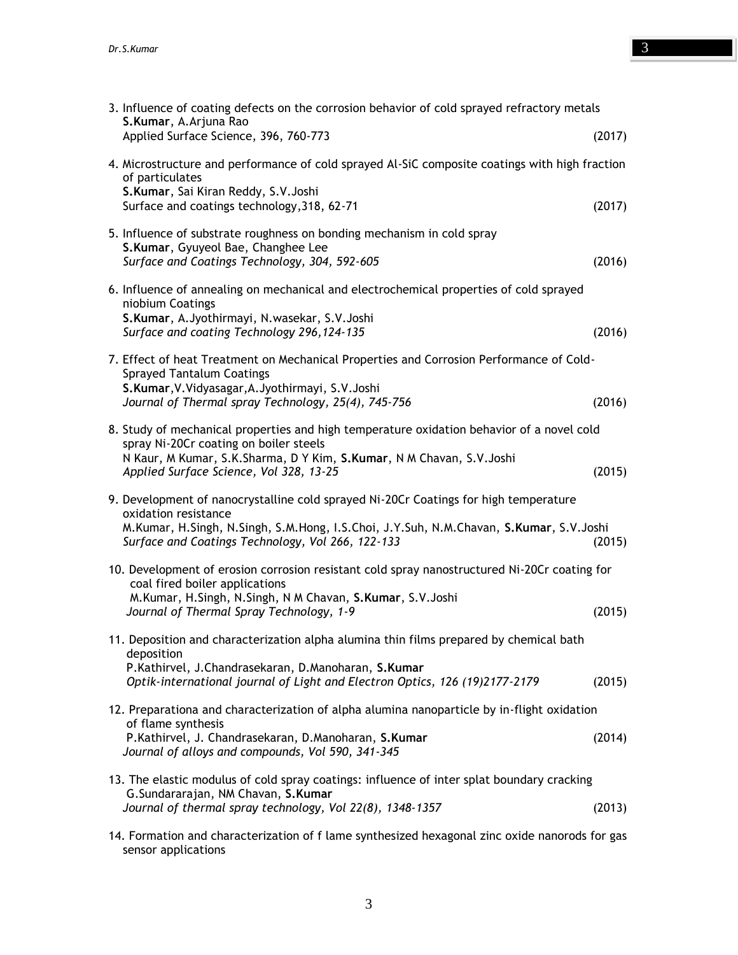| 3. Influence of coating defects on the corrosion behavior of cold sprayed refractory metals<br>S.Kumar, A.Arjuna Rao                                          |        |  |
|---------------------------------------------------------------------------------------------------------------------------------------------------------------|--------|--|
| Applied Surface Science, 396, 760-773                                                                                                                         | (2017) |  |
| 4. Microstructure and performance of cold sprayed Al-SiC composite coatings with high fraction<br>of particulates<br>S.Kumar, Sai Kiran Reddy, S.V.Joshi      |        |  |
| Surface and coatings technology, 318, 62-71                                                                                                                   | (2017) |  |
| 5. Influence of substrate roughness on bonding mechanism in cold spray<br>S.Kumar, Gyuyeol Bae, Changhee Lee<br>Surface and Coatings Technology, 304, 592-605 | (2016) |  |
|                                                                                                                                                               |        |  |
| 6. Influence of annealing on mechanical and electrochemical properties of cold sprayed<br>niobium Coatings                                                    |        |  |
| S.Kumar, A.Jyothirmayi, N.wasekar, S.V.Joshi<br>Surface and coating Technology 296, 124-135                                                                   | (2016) |  |
| 7. Effect of heat Treatment on Mechanical Properties and Corrosion Performance of Cold-<br><b>Sprayed Tantalum Coatings</b>                                   |        |  |
| S.Kumar, V.Vidyasagar, A.Jyothirmayi, S.V.Joshi<br>Journal of Thermal spray Technology, 25(4), 745-756                                                        | (2016) |  |
| 8. Study of mechanical properties and high temperature oxidation behavior of a novel cold<br>spray Ni-20Cr coating on boiler steels                           |        |  |
| N Kaur, M Kumar, S.K.Sharma, D Y Kim, S.Kumar, N M Chavan, S.V.Joshi<br>Applied Surface Science, Vol 328, 13-25                                               | (2015) |  |
| 9. Development of nanocrystalline cold sprayed Ni-20Cr Coatings for high temperature<br>oxidation resistance                                                  |        |  |
| M.Kumar, H.Singh, N.Singh, S.M.Hong, I.S.Choi, J.Y.Suh, N.M.Chavan, S.Kumar, S.V.Joshi<br>Surface and Coatings Technology, Vol 266, 122-133                   | (2015) |  |
| 10. Development of erosion corrosion resistant cold spray nanostructured Ni-20Cr coating for<br>coal fired boiler applications                                |        |  |
| M.Kumar, H.Singh, N.Singh, N M Chavan, S.Kumar, S.V.Joshi<br>Journal of Thermal Spray Technology, 1-9                                                         | (2015) |  |
| 11. Deposition and characterization alpha alumina thin films prepared by chemical bath<br>deposition                                                          |        |  |
| P.Kathirvel, J.Chandrasekaran, D.Manoharan, S.Kumar<br>Optik-international journal of Light and Electron Optics, 126 (19)2177-2179                            | (2015) |  |
| 12. Preparationa and characterization of alpha alumina nanoparticle by in-flight oxidation<br>of flame synthesis                                              |        |  |
| P.Kathirvel, J. Chandrasekaran, D.Manoharan, S.Kumar<br>Journal of alloys and compounds, Vol 590, 341-345                                                     | (2014) |  |
| 13. The elastic modulus of cold spray coatings: influence of inter splat boundary cracking<br>G.Sundararajan, NM Chavan, S.Kumar                              |        |  |
| Journal of thermal spray technology, Vol 22(8), 1348-1357                                                                                                     | (2013) |  |

14. Formation and characterization of f lame synthesized hexagonal zinc oxide nanorods for gas sensor applications

3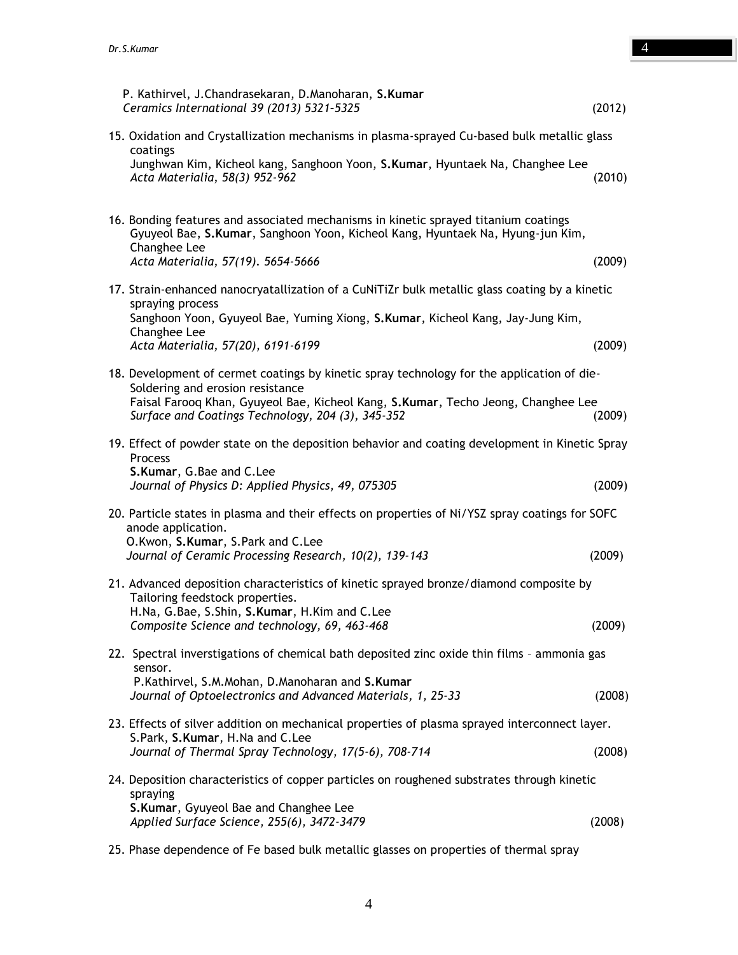| P. Kathirvel, J.Chandrasekaran, D.Manoharan, S.Kumar<br>Ceramics International 39 (2013) 5321-5325                                                                                    | (2012) |  |  |
|---------------------------------------------------------------------------------------------------------------------------------------------------------------------------------------|--------|--|--|
| 15. Oxidation and Crystallization mechanisms in plasma-sprayed Cu-based bulk metallic glass<br>coatings                                                                               |        |  |  |
| Junghwan Kim, Kicheol kang, Sanghoon Yoon, S.Kumar, Hyuntaek Na, Changhee Lee<br>Acta Materialia, 58(3) 952-962                                                                       | (2010) |  |  |
| 16. Bonding features and associated mechanisms in kinetic sprayed titanium coatings<br>Gyuyeol Bae, S.Kumar, Sanghoon Yoon, Kicheol Kang, Hyuntaek Na, Hyung-jun Kim,<br>Changhee Lee |        |  |  |
| Acta Materialia, 57(19). 5654-5666                                                                                                                                                    | (2009) |  |  |
| 17. Strain-enhanced nanocryatallization of a CuNiTiZr bulk metallic glass coating by a kinetic<br>spraying process                                                                    |        |  |  |
| Sanghoon Yoon, Gyuyeol Bae, Yuming Xiong, S.Kumar, Kicheol Kang, Jay-Jung Kim,<br>Changhee Lee                                                                                        |        |  |  |
| Acta Materialia, 57(20), 6191-6199                                                                                                                                                    | (2009) |  |  |
| 18. Development of cermet coatings by kinetic spray technology for the application of die-<br>Soldering and erosion resistance                                                        |        |  |  |
| Faisal Farooq Khan, Gyuyeol Bae, Kicheol Kang, S.Kumar, Techo Jeong, Changhee Lee<br>Surface and Coatings Technology, 204 (3), 345-352                                                | (2009) |  |  |
| 19. Effect of powder state on the deposition behavior and coating development in Kinetic Spray<br>Process                                                                             |        |  |  |
| S.Kumar, G.Bae and C.Lee<br>Journal of Physics D: Applied Physics, 49, 075305                                                                                                         | (2009) |  |  |
| 20. Particle states in plasma and their effects on properties of Ni/YSZ spray coatings for SOFC<br>anode application.                                                                 |        |  |  |
| O.Kwon, S.Kumar, S.Park and C.Lee<br>Journal of Ceramic Processing Research, 10(2), 139-143                                                                                           | (2009) |  |  |
| 21. Advanced deposition characteristics of kinetic sprayed bronze/diamond composite by<br>Tailoring feedstock properties.                                                             |        |  |  |
| H.Na, G.Bae, S.Shin, S.Kumar, H.Kim and C.Lee<br>Composite Science and technology, 69, 463-468                                                                                        | (2009) |  |  |
| 22. Spectral inverstigations of chemical bath deposited zinc oxide thin films - ammonia gas<br>sensor.                                                                                |        |  |  |
| P.Kathirvel, S.M.Mohan, D.Manoharan and S.Kumar<br>Journal of Optoelectronics and Advanced Materials, 1, 25-33                                                                        | (2008) |  |  |
| 23. Effects of silver addition on mechanical properties of plasma sprayed interconnect layer.                                                                                         |        |  |  |
| S.Park, S.Kumar, H.Na and C.Lee<br>Journal of Thermal Spray Technology, 17(5-6), 708-714                                                                                              | (2008) |  |  |
| 24. Deposition characteristics of copper particles on roughened substrates through kinetic                                                                                            |        |  |  |
| spraying<br>S.Kumar, Gyuyeol Bae and Changhee Lee<br>Applied Surface Science, 255(6), 3472-3479                                                                                       | (2008) |  |  |
|                                                                                                                                                                                       |        |  |  |

4

25. Phase dependence of Fe based bulk metallic glasses on properties of thermal spray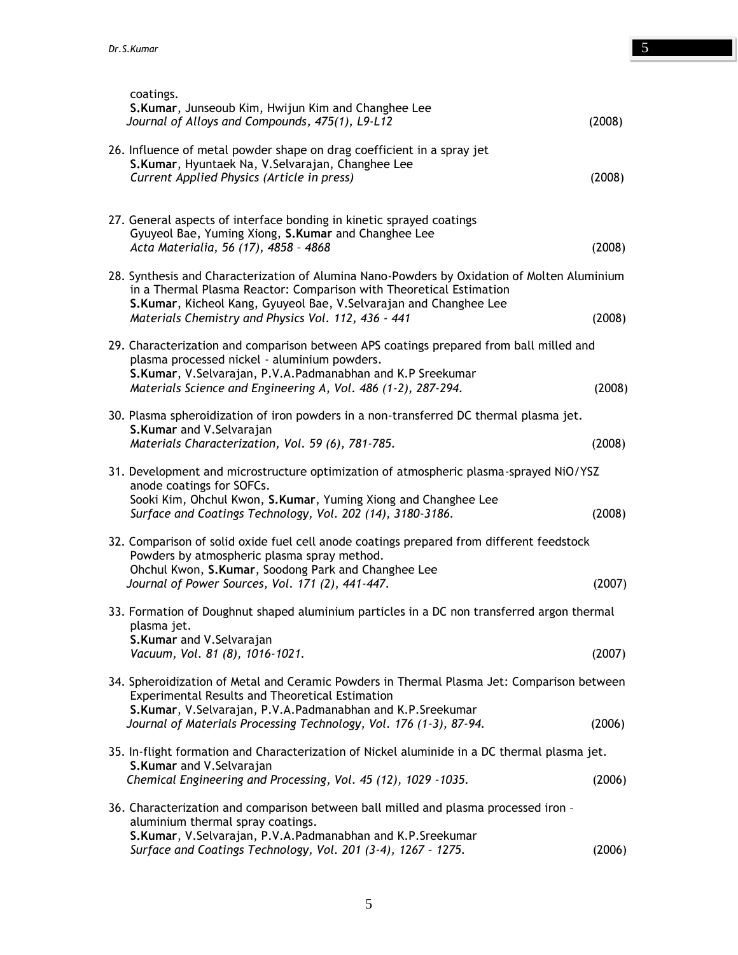| coatings.<br>S.Kumar, Junseoub Kim, Hwijun Kim and Changhee Lee<br>Journal of Alloys and Compounds, 475(1), L9-L12                                                                                                                      | (2008) |  |
|-----------------------------------------------------------------------------------------------------------------------------------------------------------------------------------------------------------------------------------------|--------|--|
| 26. Influence of metal powder shape on drag coefficient in a spray jet<br>S.Kumar, Hyuntaek Na, V.Selvarajan, Changhee Lee<br>Current Applied Physics (Article in press)                                                                | (2008) |  |
| 27. General aspects of interface bonding in kinetic sprayed coatings<br>Gyuyeol Bae, Yuming Xiong, S.Kumar and Changhee Lee                                                                                                             |        |  |
| Acta Materialia, 56 (17), 4858 - 4868                                                                                                                                                                                                   | (2008) |  |
| 28. Synthesis and Characterization of Alumina Nano-Powders by Oxidation of Molten Aluminium<br>in a Thermal Plasma Reactor: Comparison with Theoretical Estimation<br>S.Kumar, Kicheol Kang, Gyuyeol Bae, V.Selvarajan and Changhee Lee |        |  |
| Materials Chemistry and Physics Vol. 112, 436 - 441                                                                                                                                                                                     | (2008) |  |
| 29. Characterization and comparison between APS coatings prepared from ball milled and<br>plasma processed nickel - aluminium powders.                                                                                                  |        |  |
| S.Kumar, V.Selvarajan, P.V.A.Padmanabhan and K.P Sreekumar<br>Materials Science and Engineering A, Vol. 486 (1-2), 287-294.                                                                                                             | (2008) |  |
| 30. Plasma spheroidization of iron powders in a non-transferred DC thermal plasma jet.<br>S.Kumar and V.Selvarajan<br>Materials Characterization, Vol. 59 (6), 781-785.                                                                 | (2008) |  |
| 31. Development and microstructure optimization of atmospheric plasma-sprayed NiO/YSZ                                                                                                                                                   |        |  |
| anode coatings for SOFCs.<br>Sooki Kim, Ohchul Kwon, S.Kumar, Yuming Xiong and Changhee Lee<br>Surface and Coatings Technology, Vol. 202 (14), 3180-3186.                                                                               | (2008) |  |
| 32. Comparison of solid oxide fuel cell anode coatings prepared from different feedstock<br>Powders by atmospheric plasma spray method.                                                                                                 |        |  |
| Ohchul Kwon, S.Kumar, Soodong Park and Changhee Lee<br>Journal of Power Sources, Vol. 171 (2), 441-447.                                                                                                                                 | (2007) |  |
| 33. Formation of Doughnut shaped aluminium particles in a DC non transferred argon thermal<br>plasma jet.                                                                                                                               |        |  |
| S.Kumar and V.Selvarajan<br>Vacuum, Vol. 81 (8), 1016-1021.                                                                                                                                                                             | (2007) |  |
| 34. Spheroidization of Metal and Ceramic Powders in Thermal Plasma Jet: Comparison between<br><b>Experimental Results and Theoretical Estimation</b><br>S.Kumar, V.Selvarajan, P.V.A.Padmanabhan and K.P.Sreekumar                      |        |  |
| Journal of Materials Processing Technology, Vol. 176 (1-3), 87-94.                                                                                                                                                                      | (2006) |  |
| 35. In-flight formation and Characterization of Nickel aluminide in a DC thermal plasma jet.                                                                                                                                            |        |  |
| S.Kumar and V.Selvarajan<br>Chemical Engineering and Processing, Vol. 45 (12), 1029 -1035.                                                                                                                                              | (2006) |  |
| 36. Characterization and comparison between ball milled and plasma processed iron -<br>aluminium thermal spray coatings.                                                                                                                |        |  |
| S.Kumar, V.Selvarajan, P.V.A.Padmanabhan and K.P.Sreekumar<br>Surface and Coatings Technology, Vol. 201 (3-4), 1267 - 1275.                                                                                                             | (2006) |  |